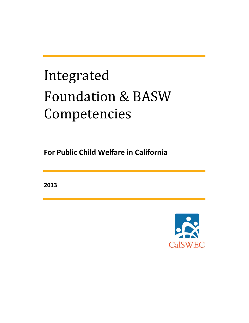## Integrated Foundation & BASW Competencies

**For Public Child Welfare in California**

**2013**

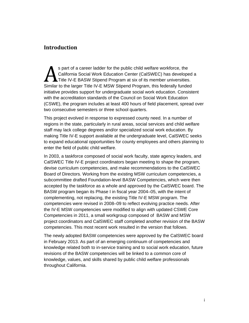## **Introduction**

s part of a career ladder for the public child welfare workforce, the California Social Work Education Center (CalSWEC) has developed a Title IV-E BASW Stipend Program at six of its member universities. Similar to the larger Title IV-E MSW Stipend Program, this federally funded Similar to the larger Title IV-E MSW Stipend Program, this federally funded initiative provides support for undergraduate social work education. Consistent with the accreditation standards of the Council on Social Work Education (CSWE), the program includes at least 400 hours of field placement, spread over two consecutive semesters or three school quarters.

This project evolved in response to expressed county need. In a number of regions in the state, particularly in rural areas, social services and child welfare staff may lack college degrees and/or specialized social work education. By making Title IV-E support available at the undergraduate level, CalSWEC seeks to expand educational opportunities for county employees and others planning to enter the field of public child welfare.

In 2003, a taskforce composed of social work faculty, state agency leaders, and CalSWEC Title IV-E project coordinators began meeting to shape the program, devise curriculum competencies, and make recommendations to the CalSWEC Board of Directors. Working from the existing MSW curriculum competencies, a subcommittee drafted Foundation-level BASW Competencies, which were then accepted by the taskforce as a whole and approved by the CalSWEC board. The BASW program began its Phase I in fiscal year 2004–05, with the intent of complementing, not replacing, the existing Title IV-E MSW program. The competencies were revised in 2008–09 to reflect evolving practice needs. After the IV-E MSW competencies were modified to align with updated CSWE Core Competencies in 2011, a small workgroup composed of BASW and MSW project coordinators and CalSWEC staff completed another revision of the BASW competencies. This most recent work resulted in the version that follows.

The newly adopted BASW competencies were approved by the CalSWEC board in February 2013. As part of an emerging continuum of competencies and knowledge related both to in-service training and to social work education, future revisions of the BASW competencies will be linked to a common core of knowledge, values, and skills shared by public child welfare professionals throughout California.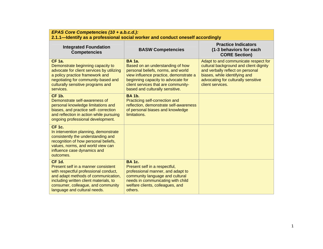| EPAS Core Competencies (10 + a.b.c.d.):<br>2.1.1-Identify as a professional social worker and conduct oneself accordingly                                                                                                                            |                                                                                                                                                                                                                                                   |                                                                                                                                                                                                                |
|------------------------------------------------------------------------------------------------------------------------------------------------------------------------------------------------------------------------------------------------------|---------------------------------------------------------------------------------------------------------------------------------------------------------------------------------------------------------------------------------------------------|----------------------------------------------------------------------------------------------------------------------------------------------------------------------------------------------------------------|
| <b>Integrated Foundation</b><br><b>Competencies</b>                                                                                                                                                                                                  | <b>BASW Competencies</b>                                                                                                                                                                                                                          | <b>Practice Indicators</b><br>(1-3 behaviors for each<br><b>CORE Section)</b>                                                                                                                                  |
| <b>CF 1a.</b><br>Demonstrate beginning capacity to<br>advocate for client services by utilizing<br>a policy practice framework and<br>negotiating for community-based and<br>culturally sensitive programs and<br>services.                          | <b>BA</b> 1a.<br>Based on an understanding of how<br>personal beliefs, norms, and world<br>view influence practice, demonstrate a<br>beginning capacity to advocate for<br>client services that are community-<br>based and culturally sensitive. | Adapt to and communicate respect for<br>cultural background and client dignity<br>and verbally reflect on personal<br>biases, while identifying and<br>advocating for culturally sensitive<br>client services. |
| <b>CF 1b.</b><br>Demonstrate self-awareness of<br>personal knowledge limitations and<br>biases, and practice self- correction<br>and reflection in action while pursuing<br>ongoing professional development.                                        | <b>BA 1b.</b><br>Practicing self-correction and<br>reflection, demonstrate self-awareness<br>of personal biases and knowledge<br>limitations.                                                                                                     |                                                                                                                                                                                                                |
| <b>CF 1c.</b><br>In intervention planning, demonstrate<br>consistently the understanding and<br>recognition of how personal beliefs,<br>values, norms, and world view can<br>influence case dynamics and<br>outcomes.                                |                                                                                                                                                                                                                                                   |                                                                                                                                                                                                                |
| <b>CF 1d.</b><br>Present self in a manner consistent<br>with respectful professional conduct,<br>and adapt methods of communication,<br>including written client materials, to<br>consumer, colleague, and community<br>language and cultural needs. | <b>BA1c.</b><br>Present self in a respectful,<br>professional manner, and adapt to<br>community language and cultural<br>needs in communicating with child<br>welfare clients, colleagues, and<br>others.                                         |                                                                                                                                                                                                                |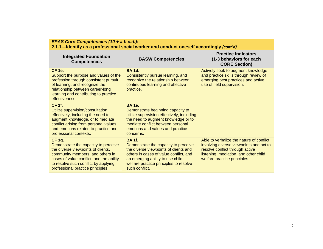| EPAS Core Competencies (10 + a.b.c.d.):<br>2.1.1—Identify as a professional social worker and conduct oneself accordingly (cont'd)                                                                                                                       |                                                                                                                                                                                                                                          |                                                                                                                                                                                                 |
|----------------------------------------------------------------------------------------------------------------------------------------------------------------------------------------------------------------------------------------------------------|------------------------------------------------------------------------------------------------------------------------------------------------------------------------------------------------------------------------------------------|-------------------------------------------------------------------------------------------------------------------------------------------------------------------------------------------------|
| <b>Integrated Foundation</b><br><b>Competencies</b>                                                                                                                                                                                                      | <b>BASW Competencies</b>                                                                                                                                                                                                                 | <b>Practice Indicators</b><br>(1-3 behaviors for each<br><b>CORE Section)</b>                                                                                                                   |
| <b>CF 1e.</b><br>Support the purpose and values of the<br>profession through consistent pursuit<br>of learning, and recognize the<br>relationship between career-long<br>learning and contributing to practice<br>effectiveness.                         | <b>BA 1d.</b><br>Consistently pursue learning, and<br>recognize the relationship between<br>continuous learning and effective<br>practice.                                                                                               | Actively seek to augment knowledge<br>and practice skills through review of<br>emerging best practices and active<br>use of field supervision.                                                  |
| <b>CF 1f.</b><br>Utilize supervision/consultation<br>effectively, including the need to<br>augment knowledge, or to mediate<br>conflict arising from personal values<br>and emotions related to practice and<br>professional contexts.                   | <b>BA</b> 1e.<br>Demonstrate beginning capacity to<br>utilize supervision effectively, including<br>the need to augment knowledge or to<br>mediate conflict between personal<br>emotions and values and practice<br>concerns.            |                                                                                                                                                                                                 |
| <b>CF 1g.</b><br>Demonstrate the capacity to perceive<br>the diverse viewpoints of clients,<br>community members, and others in<br>cases of value conflict, and the ability<br>to resolve such conflict by applying<br>professional practice principles. | <b>BA 1f.</b><br>Demonstrate the capacity to perceive<br>the diverse viewpoints of clients and<br>others in cases of value conflict, and<br>an emerging ability to use child<br>welfare practice principles to resolve<br>such conflict. | Able to verbalize the nature of conflict<br>involving diverse viewpoints and act to<br>resolve conflict through active<br>listening, mediation, and other child<br>welfare practice principles. |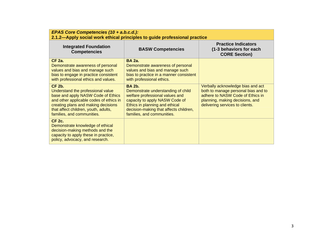| EPAS Core Competencies (10 + a.b.c.d.):<br>2.1.2—Apply social work ethical principles to guide professional practice                                                                                                                             |                                                                                                                                                                                                                                    |                                                                                                                                                                                    |
|--------------------------------------------------------------------------------------------------------------------------------------------------------------------------------------------------------------------------------------------------|------------------------------------------------------------------------------------------------------------------------------------------------------------------------------------------------------------------------------------|------------------------------------------------------------------------------------------------------------------------------------------------------------------------------------|
| <b>Integrated Foundation</b><br><b>Competencies</b>                                                                                                                                                                                              | <b>BASW Competencies</b>                                                                                                                                                                                                           | <b>Practice Indicators</b><br>(1-3 behaviors for each<br><b>CORE Section)</b>                                                                                                      |
| <b>CF 2a.</b><br>Demonstrate awareness of personal<br>values and bias and manage such<br>bias to engage in practice consistent<br>with professional ethics and values.                                                                           | <b>BA 2a.</b><br>Demonstrate awareness of personal<br>values and bias and manage such<br>bias to practice in a manner consistent<br>with professional ethics.                                                                      |                                                                                                                                                                                    |
| <b>CF 2b.</b><br>Understand the professional value<br>base and apply NASW Code of Ethics<br>and other applicable codes of ethics in<br>creating plans and making decisions<br>that affect children, youth, adults,<br>families, and communities. | <b>BA 2b.</b><br>Demonstrate understanding of child<br>welfare professional values and<br>capacity to apply NASW Code of<br>Ethics in planning and ethical<br>decision-making that affects children,<br>families, and communities. | Verbally acknowledge bias and act<br>both to manage personal bias and to<br>adhere to NASW Code of Ethics in<br>planning, making decisions, and<br>delivering services to clients. |
| <b>CF 2c.</b><br>Demonstrate knowledge of ethical<br>decision-making methods and the<br>capacity to apply these in practice,<br>policy, advocacy, and research.                                                                                  |                                                                                                                                                                                                                                    |                                                                                                                                                                                    |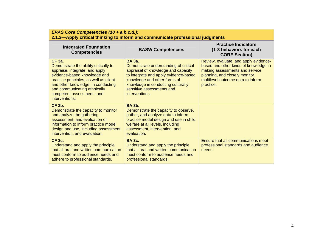| EPAS Core Competencies (10 + a.b.c.d.):<br>2.1.3—Apply critical thinking to inform and communicate professional judgments                                                                                                                                                               |                                                                                                                                                                                                                                                             |                                                                                                                                                                                                     |
|-----------------------------------------------------------------------------------------------------------------------------------------------------------------------------------------------------------------------------------------------------------------------------------------|-------------------------------------------------------------------------------------------------------------------------------------------------------------------------------------------------------------------------------------------------------------|-----------------------------------------------------------------------------------------------------------------------------------------------------------------------------------------------------|
| <b>Integrated Foundation</b><br><b>Competencies</b>                                                                                                                                                                                                                                     | <b>BASW Competencies</b>                                                                                                                                                                                                                                    | <b>Practice Indicators</b><br>(1-3 behaviors for each<br><b>CORE Section)</b>                                                                                                                       |
| <b>CF 3a.</b><br>Demonstrate the ability critically to<br>appraise, integrate, and apply<br>evidence-based knowledge and<br>practice principles, as well as client<br>and other knowledge, in conducting<br>and communicating ethnically<br>competent assessments and<br>interventions. | <b>BA</b> 3a.<br>Demonstrate understanding of critical<br>appraisal of knowledge and capacity<br>to integrate and apply evidence-based<br>knowledge and other forms of<br>knowledge in conducting culturally<br>sensitive assessments and<br>interventions. | Review, evaluate, and apply evidence-<br>based and other kinds of knowledge in<br>making assessments and service<br>planning, and closely monitor<br>multilevel outcome data to inform<br>practice. |
| <b>CF 3b.</b><br>Demonstrate the capacity to monitor<br>and analyze the gathering,<br>assessment, and evaluation of<br>information to inform practice model<br>design and use, including assessment,<br>intervention, and evaluation.                                                   | <b>BA 3b.</b><br>Demonstrate the capacity to observe,<br>gather, and analyze data to inform<br>practice model design and use in child<br>welfare at all levels, including<br>assessment, intervention, and<br>evaluation.                                   |                                                                                                                                                                                                     |
| <b>CF 3c.</b><br>Understand and apply the principle<br>that all oral and written communication<br>must conform to audience needs and<br>adhere to professional standards.                                                                                                               | <b>BA 3c.</b><br>Understand and apply the principle<br>that all oral and written communication<br>must conform to audience needs and<br>professional standards.                                                                                             | Ensure that all communications meet<br>professional standards and audience<br>needs.                                                                                                                |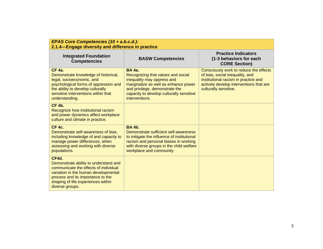| EPAS Core Competencies (10 + a.b.c.d.):<br>2.1.4–Engage diversity and difference in practice                                                                                                                                  |                                                                                                                                                                                                                           |                                                                                                                                                                                       |
|-------------------------------------------------------------------------------------------------------------------------------------------------------------------------------------------------------------------------------|---------------------------------------------------------------------------------------------------------------------------------------------------------------------------------------------------------------------------|---------------------------------------------------------------------------------------------------------------------------------------------------------------------------------------|
| <b>Integrated Foundation</b><br><b>Competencies</b>                                                                                                                                                                           | <b>BASW Competencies</b>                                                                                                                                                                                                  | <b>Practice Indicators</b><br>(1-3 behaviors for each<br><b>CORE Section)</b>                                                                                                         |
| <b>CF 4a.</b><br>Demonstrate knowledge of historical,<br>legal, socioeconomic, and<br>psychological forms of oppression and<br>the ability to develop culturally<br>sensitive interventions within that<br>understanding.     | <b>BA 4a.</b><br>Recognizing that values and social<br>inequality may oppress and<br>marginalize as well as enhance power<br>and privilege, demonstrate the<br>capacity to develop culturally sensitive<br>interventions. | Consciously work to reduce the effects<br>of bias, social inequality, and<br>institutional racism in practice and<br>actively develop interventions that are<br>culturally sensitive. |
| <b>CF 4b.</b><br>Recognize how institutional racism<br>and power dynamics affect workplace<br>culture and climate in practice.                                                                                                |                                                                                                                                                                                                                           |                                                                                                                                                                                       |
| <b>CF 4c.</b><br>Demonstrate self-awareness of bias,<br>including knowledge of and capacity to<br>manage power differences, when<br>assessing and working with diverse<br>populations.                                        | <b>BA 4b.</b><br>Demonstrate sufficient self-awareness<br>to mitigate the influence of institutional<br>racism and personal biases in working<br>with diverse groups in the child welfare<br>workplace and community      |                                                                                                                                                                                       |
| CF4d.<br>Demonstrate ability to understand and<br>communicate the effects of individual<br>variation in the human developmental<br>process and its importance to the<br>shaping of life experiences within<br>diverse groups. |                                                                                                                                                                                                                           |                                                                                                                                                                                       |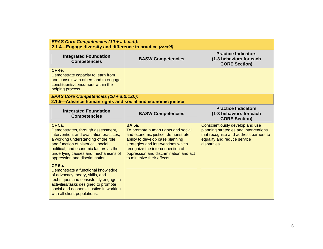| EPAS Core Competencies (10 + a.b.c.d.):<br>2.1.4-Engage diversity and difference in practice (cont'd)                                                                                                                                                                                         |                                                                                                                                                                                                                                                                               |                                                                                                                                                                   |
|-----------------------------------------------------------------------------------------------------------------------------------------------------------------------------------------------------------------------------------------------------------------------------------------------|-------------------------------------------------------------------------------------------------------------------------------------------------------------------------------------------------------------------------------------------------------------------------------|-------------------------------------------------------------------------------------------------------------------------------------------------------------------|
| <b>Integrated Foundation</b><br><b>Competencies</b>                                                                                                                                                                                                                                           | <b>BASW Competencies</b>                                                                                                                                                                                                                                                      | <b>Practice Indicators</b><br>(1-3 behaviors for each<br><b>CORE Section)</b>                                                                                     |
| <b>CF 4e.</b><br>Demonstrate capacity to learn from<br>and consult with others and to engage<br>constituents/consumers within the<br>helping process.                                                                                                                                         |                                                                                                                                                                                                                                                                               |                                                                                                                                                                   |
| EPAS Core Competencies (10 + a.b.c.d.):<br>2.1.5-Advance human rights and social and economic justice                                                                                                                                                                                         |                                                                                                                                                                                                                                                                               |                                                                                                                                                                   |
| <b>Integrated Foundation</b><br><b>Competencies</b>                                                                                                                                                                                                                                           | <b>BASW Competencies</b>                                                                                                                                                                                                                                                      | <b>Practice Indicators</b><br>(1-3 behaviors for each<br><b>CORE Section)</b>                                                                                     |
| <b>CF 5a.</b><br>Demonstrates, through assessment,<br>intervention. and evaluation practices,<br>a working understanding of the role<br>and function of historical, social,<br>political, and economic factors as the<br>underlying causes and mechanisms of<br>oppression and discrimination | <b>BA 5a.</b><br>To promote human rights and social<br>and economic justice, demonstrate<br>ability to develop case planning<br>strategies and interventions which<br>recognize the interconnection of<br>oppression and discrimination and act<br>to minimize their effects. | Conscientiously develop and use<br>planning strategies and interventions<br>that recognize and address barriers to<br>equality and reduce service<br>disparities. |
| <b>CF 5b.</b><br>Demonstrate a functional knowledge<br>of advocacy theory, skills, and<br>techniques and consistently engage in<br>activities/tasks designed to promote<br>social and economic justice in working<br>with all client populations.                                             |                                                                                                                                                                                                                                                                               |                                                                                                                                                                   |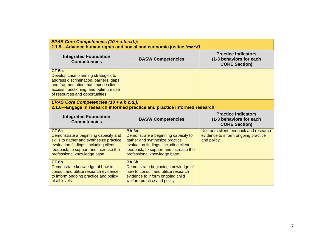| EPAS Core Competencies (10 + a.b.c.d.):<br>2.1.5—Advance human rights and social and economic justice (cont'd)                                                                                                      |                                                                                                                                                                                                          |                                                                                             |
|---------------------------------------------------------------------------------------------------------------------------------------------------------------------------------------------------------------------|----------------------------------------------------------------------------------------------------------------------------------------------------------------------------------------------------------|---------------------------------------------------------------------------------------------|
| <b>Integrated Foundation</b><br><b>Competencies</b>                                                                                                                                                                 | <b>BASW Competencies</b>                                                                                                                                                                                 | <b>Practice Indicators</b><br>(1-3 behaviors for each<br><b>CORE Section)</b>               |
| <b>CF 5c.</b><br>Develop case planning strategies to<br>address discrimination, barriers, gaps,<br>and fragmentation that impede client<br>access, functioning, and optimum use<br>of resources and opportunities.  |                                                                                                                                                                                                          |                                                                                             |
| EPAS Core Competencies (10 + a.b.c.d.):<br>2.1.6—Engage in research informed practice and practice informed research                                                                                                |                                                                                                                                                                                                          |                                                                                             |
|                                                                                                                                                                                                                     |                                                                                                                                                                                                          |                                                                                             |
| <b>Integrated Foundation</b><br><b>Competencies</b>                                                                                                                                                                 | <b>BASW Competencies</b>                                                                                                                                                                                 | <b>Practice Indicators</b><br>(1-3 behaviors for each<br><b>CORE Section)</b>               |
| <b>CF 6a.</b><br>Demonstrate a beginning capacity and<br>skills to gather and synthesize practice<br>evaluation findings, including client<br>feedback, to support and increase the<br>professional knowledge base. | <b>BA</b> 6a.<br>Demonstrate a beginning capacity to<br>gather and synthesize practice<br>evaluation findings, including client<br>feedback, to support and increase the<br>professional knowledge base. | Use both client feedback and research<br>evidence to inform ongoing practice<br>and policy. |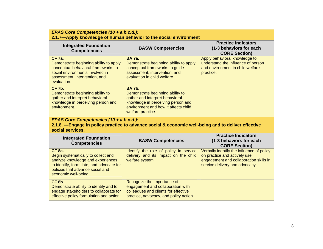| EPAS Core Competencies (10 + a.b.c.d.):<br>2.1.7-Apply knowledge of human behavior to the social environment                                                                                      |                                                                                                                                                                                         |                                                                                                                                                       |
|---------------------------------------------------------------------------------------------------------------------------------------------------------------------------------------------------|-----------------------------------------------------------------------------------------------------------------------------------------------------------------------------------------|-------------------------------------------------------------------------------------------------------------------------------------------------------|
| <b>Integrated Foundation</b><br><b>Competencies</b>                                                                                                                                               | <b>BASW Competencies</b>                                                                                                                                                                | <b>Practice Indicators</b><br>(1-3 behaviors for each<br><b>CORE Section)</b>                                                                         |
| <b>CF 7a.</b><br>Demonstrate beginning ability to apply<br>conceptual behavioral frameworks to<br>social environments involved in<br>assessment, intervention, and<br>evaluation.                 | <b>BA 7a.</b><br>Demonstrate beginning ability to apply<br>conceptual frameworks to guide<br>assessment, intervention, and<br>evaluation in child welfare.                              | Apply behavioral knowledge to<br>understand the influence of person<br>and environment in child welfare<br>practice.                                  |
| <b>CF 7b.</b><br>Demonstrate beginning ability to<br>gather and interpret behavioral<br>knowledge in perceiving person and<br>environment.                                                        | <b>BA 7b.</b><br>Demonstrate beginning ability to<br>gather and interpret behavioral<br>knowledge in perceiving person and<br>environment and how it affects child<br>welfare practice. |                                                                                                                                                       |
| EPAS Core Competencies (10 + a.b.c.d.):<br>2.1.8. - Engage in policy practice to advance social & economic well-being and to deliver effective<br>social services.                                |                                                                                                                                                                                         |                                                                                                                                                       |
| <b>Integrated Foundation</b><br><b>Competencies</b>                                                                                                                                               | <b>BASW Competencies</b>                                                                                                                                                                | <b>Practice Indicators</b><br>(1-3 behaviors for each<br><b>CORE Section)</b>                                                                         |
| <b>CF 8a.</b><br>Begin systematically to collect and<br>analyze knowledge and experiences<br>to identify, formulate, and advocate for<br>policies that advance social and<br>economic well-being. | Identify the role of policy in service<br>delivery and its impact on the child<br>welfare system.                                                                                       | Verbally identify the influence of policy<br>on practice and actively use<br>engagement and collaboration skills in<br>service delivery and advocacy. |
| <b>CF 8b.</b><br>Demonstrate ability to identify and to<br>engage stakeholders to collaborate for<br>effective policy formulation and action.                                                     | Recognize the importance of<br>engagement and collaboration with<br>colleagues and clients for effective<br>practice, advocacy, and policy action.                                      |                                                                                                                                                       |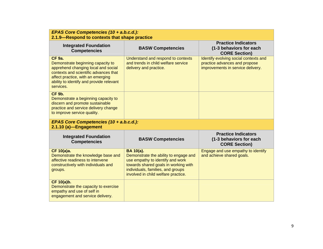| EPAS Core Competencies (10 + a.b.c.d.):<br>2.1.9-Respond to contexts that shape practice                                                                                                                                         |                                                                                                                                                                                                                   |                                                                                                             |
|----------------------------------------------------------------------------------------------------------------------------------------------------------------------------------------------------------------------------------|-------------------------------------------------------------------------------------------------------------------------------------------------------------------------------------------------------------------|-------------------------------------------------------------------------------------------------------------|
| <b>Integrated Foundation</b><br><b>Competencies</b>                                                                                                                                                                              | <b>BASW Competencies</b>                                                                                                                                                                                          | <b>Practice Indicators</b><br>(1-3 behaviors for each<br><b>CORE Section)</b>                               |
| <b>CF 9a.</b><br>Demonstrate beginning capacity to<br>apprehend changing local and social<br>contexts and scientific advances that<br>affect practice, with an emerging<br>ability to identify and provide relevant<br>services. | Understand and respond to contexts<br>and trends in child welfare service<br>delivery and practice.                                                                                                               | Identify evolving social contexts and<br>practice advances and propose<br>improvements in service delivery. |
| <b>CF 9b.</b><br>Demonstrate a beginning capacity to<br>discern and promote sustainable<br>practice and service delivery change<br>to improve service quality.                                                                   |                                                                                                                                                                                                                   |                                                                                                             |
| EPAS Core Competencies (10 + a.b.c.d.):<br>2.1.10 (a)-Engagement                                                                                                                                                                 |                                                                                                                                                                                                                   |                                                                                                             |
| <b>Integrated Foundation</b><br><b>Competencies</b>                                                                                                                                                                              | <b>BASW Competencies</b>                                                                                                                                                                                          | <b>Practice Indicators</b><br>(1-3 behaviors for each<br><b>CORE Section)</b>                               |
| <b>CF 10(a)a.</b><br>Demonstrate the knowledge base and<br>affective readiness to intervene<br>constructively with individuals and<br>groups.                                                                                    | <b>BA 10(a).</b><br>Demonstrate the ability to engage and<br>use empathy to identify and work<br>towards shared goals in working with<br>individuals, families, and groups<br>involved in child welfare practice. | Engage and use empathy to identify<br>and achieve shared goals.                                             |
| CF 10(a)b.<br>Demonstrate the capacity to exercise<br>empathy and use of self in<br>engagement and service delivery.                                                                                                             |                                                                                                                                                                                                                   |                                                                                                             |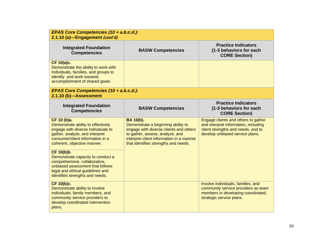| EPAS Core Competencies (10 + a.b.c.d.):<br>2.1.10 (a)-Engagement (cont'd)                                                                                                                    |                                                                                                                                                                                                                         |                                                                                                                                                      |
|----------------------------------------------------------------------------------------------------------------------------------------------------------------------------------------------|-------------------------------------------------------------------------------------------------------------------------------------------------------------------------------------------------------------------------|------------------------------------------------------------------------------------------------------------------------------------------------------|
| <b>Integrated Foundation</b><br><b>Competencies</b>                                                                                                                                          | <b>BASW Competencies</b>                                                                                                                                                                                                | <b>Practice Indicators</b><br>(1-3 behaviors for each<br><b>CORE Section)</b>                                                                        |
| <b>CF 10(a)c.</b><br>Demonstrate the ability to work with<br>individuals, families, and groups to<br>identify and work towards<br>accomplishment of shared goals.                            |                                                                                                                                                                                                                         |                                                                                                                                                      |
| EPAS Core Competencies (10 + a.b.c.d.):<br>2.1.10 (b)-Assessment                                                                                                                             |                                                                                                                                                                                                                         |                                                                                                                                                      |
| <b>Integrated Foundation</b><br><b>Competencies</b>                                                                                                                                          | <b>BASW Competencies</b>                                                                                                                                                                                                | <b>Practice Indicators</b><br>(1-3 behaviors for each<br><b>CORE Section)</b>                                                                        |
| CF 10 (b)a.<br>Demonstrate ability to effectively<br>engage with diverse individuals to<br>gather, analyze, and interpret<br>consumer/client information in a<br>coherent, objective manner. | <b>BA 10(b).</b><br>Demonstrate a beginning ability to<br>engage with diverse clients and others<br>to gather, assess, analyze, and<br>interpret client information in a manner<br>that identifies strengths and needs. | Engage clients and others to gather<br>and interpret information, including<br>client strengths and needs, and to<br>develop unbiased service plans. |
| CF 10(b)b.<br>Demonstrate capacity to conduct a<br>comprehensive, collaborative,<br>unbiased assessment that follows<br>legal and ethical guidelines and<br>identifies strengths and needs.  |                                                                                                                                                                                                                         |                                                                                                                                                      |
| CF 10(b)c.<br>Demonstrate ability to involve<br>individuals, family members, and<br>community service providers to<br>develop coordinated intervention<br>plans.                             |                                                                                                                                                                                                                         | Involve individuals, families, and<br>community service providers as team<br>members in developing coordinated,<br>strategic service plans.          |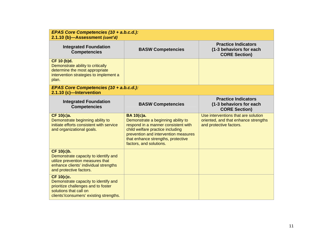| EPAS Core Competencies (10 + a.b.c.d.):<br>2.1.10 (b)-Assessment (cont'd)                                                                                      |                                                                                                                                                                                                                                      |                                                                                                        |
|----------------------------------------------------------------------------------------------------------------------------------------------------------------|--------------------------------------------------------------------------------------------------------------------------------------------------------------------------------------------------------------------------------------|--------------------------------------------------------------------------------------------------------|
| <b>Integrated Foundation</b><br><b>Competencies</b>                                                                                                            | <b>BASW Competencies</b>                                                                                                                                                                                                             | <b>Practice Indicators</b><br>(1-3 behaviors for each<br><b>CORE Section)</b>                          |
| CF 10 (b)d.<br>Demonstrate ability to critically<br>determine the most appropriate<br>intervention strategies to implement a<br>plan.                          |                                                                                                                                                                                                                                      |                                                                                                        |
| EPAS Core Competencies (10 + a.b.c.d.):<br>2.1.10 (c)-Intervention                                                                                             |                                                                                                                                                                                                                                      |                                                                                                        |
| <b>Integrated Foundation</b><br><b>Competencies</b>                                                                                                            | <b>BASW Competencies</b>                                                                                                                                                                                                             | <b>Practice Indicators</b><br>(1-3 behaviors for each<br><b>CORE Section)</b>                          |
| CF 10(c)a.<br>Demonstrate beginning ability to<br>initiate efforts consistent with service<br>and organizational goals.                                        | BA 10(c)a.<br>Demonstrate a beginning ability to<br>respond in a manner consistent with<br>child welfare practice including<br>prevention and intervention measures<br>that enhance strengths, protective<br>factors, and solutions. | Use interventions that are solution<br>oriented, and that enhance strengths<br>and protective factors. |
| CF 10(c)b.<br>Demonstrate capacity to identify and<br>utilize prevention measures that<br>enhance clients' individual strengths<br>and protective factors.     |                                                                                                                                                                                                                                      |                                                                                                        |
| CF 10(c)c.<br>Demonstrate capacity to identify and<br>prioritize challenges and to foster<br>solutions that call on<br>clients'/consumers' existing strengths. |                                                                                                                                                                                                                                      |                                                                                                        |